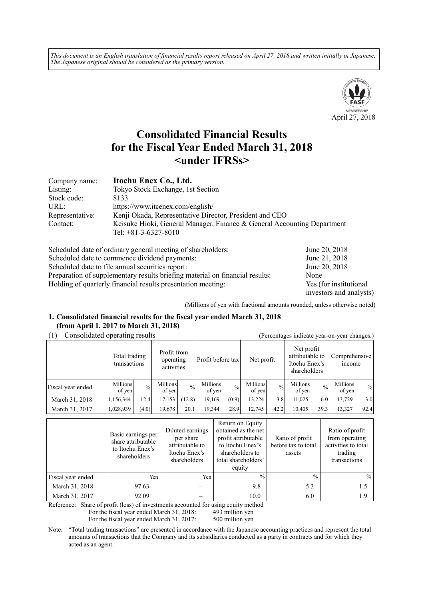*This document is an English translation of financial results report released on April 27, 2018 and written initially in Japanese. The Japanese original should be considered as the primary version.*



# **Consolidated Financial Results for the Fiscal Year Ended March 31, 2018 <under IFRSs>**

| Company name:   | Itochu Enex Co., Ltd.                                                                             |
|-----------------|---------------------------------------------------------------------------------------------------|
| Listing:        | Tokyo Stock Exchange, 1st Section                                                                 |
| Stock code:     | 8133                                                                                              |
| URL:            | https://www.itcenex.com/english/                                                                  |
| Representative: | Kenji Okada, Representative Director, President and CEO                                           |
| Contact:        | Keisuke Hioki, General Manager, Finance & General Accounting Department<br>Tel: $+81-3-6327-8010$ |

| Scheduled date of ordinary general meeting of shareholders:                  | June 20, 2018           |
|------------------------------------------------------------------------------|-------------------------|
| Scheduled date to commence dividend payments:                                | June 21, 2018           |
| Scheduled date to file annual securities report:                             | June 20, 2018           |
| Preparation of supplementary results briefing material on financial results: | None                    |
| Holding of quarterly financial results presentation meeting:                 | Yes (for institutional  |
|                                                                              | investors and analysts) |

(Millions of yen with fractional amounts rounded, unless otherwise noted)

#### **1. Consolidated financial results for the fiscal year ended March 31, 2018 (from April 1, 2017 to March 31, 2018)**

(1) Consolidated operating results (Percentages indicate year-on-year changes.)

|                   | $\alpha$ creentages marcule year on year enanges. |               |                                        |               |                    |               |                    |               |                                                                |               |                                |               |
|-------------------|---------------------------------------------------|---------------|----------------------------------------|---------------|--------------------|---------------|--------------------|---------------|----------------------------------------------------------------|---------------|--------------------------------|---------------|
|                   | Total trading<br>transactions                     |               | Profit from<br>operating<br>activities |               | Profit before tax  |               | Net profit         |               | Net profit<br>attributable to<br>Itochu Enex's<br>shareholders |               | Comprehensive<br><i>n</i> come |               |
| Fiscal year ended | Millions<br>of yen                                | $\frac{0}{0}$ | Millions<br>of yen                     | $\frac{0}{0}$ | Millions<br>of yen | $\frac{0}{0}$ | Millions<br>of yen | $\frac{0}{0}$ | Millions<br>of yen                                             | $\frac{0}{0}$ | Millions<br>of yen             | $\frac{0}{0}$ |
| March 31, 2018    | 1,156,344                                         | 12.4          | 17,153                                 | (12.8)        | 19,169             | (0.9)         | 13.224             | 3.8           | 11,025                                                         | 6.0           | 13,729                         | 3.0           |
| March 31, 2017    | 1,028,939                                         | (4.0)         | 19,678                                 | 20.1          | 19.344             | 28.9          | 12,745             | 42.2          | 10.405                                                         | 39.3          | 13,327                         | 92.4          |

|                   | Basic earnings per<br>share attributable<br>to Itochu Enex's<br>shareholders | Diluted earnings<br>per share<br>attributable to<br>Itochu Enex's<br>shareholders | Return on Equity<br>obtained as the net<br>profit attributable<br>to Itochu Enex's<br>shareholders to<br>total shareholders'<br>equity | Ratio of profit<br>before tax to total<br>assets | Ratio of profit<br>from operating<br>activities to total<br>trading<br>transactions |
|-------------------|------------------------------------------------------------------------------|-----------------------------------------------------------------------------------|----------------------------------------------------------------------------------------------------------------------------------------|--------------------------------------------------|-------------------------------------------------------------------------------------|
| Fiscal year ended | Yen                                                                          | Yen                                                                               | $^{0}/_{0}$                                                                                                                            | $\frac{0}{0}$                                    | $\frac{0}{0}$                                                                       |
| March 31, 2018    | 97.63                                                                        |                                                                                   | 9.8                                                                                                                                    | 5.3                                              | 1.5                                                                                 |
| March 31, 2017    | 92.09                                                                        |                                                                                   | 10.0                                                                                                                                   | 6.0                                              | 1.9                                                                                 |

Reference: Share of profit (loss) of investments accounted for using equity method

For the fiscal year ended March 31, 2018: 493 million yen

For the fiscal year ended March 31, 2017: 500 million yen

Note: "Total trading transactions" are presented in accordance with the Japanese accounting practices and represent the total amounts of transactions that the Company and its subsidiaries conducted as a party in contracts and for which they acted as an agent.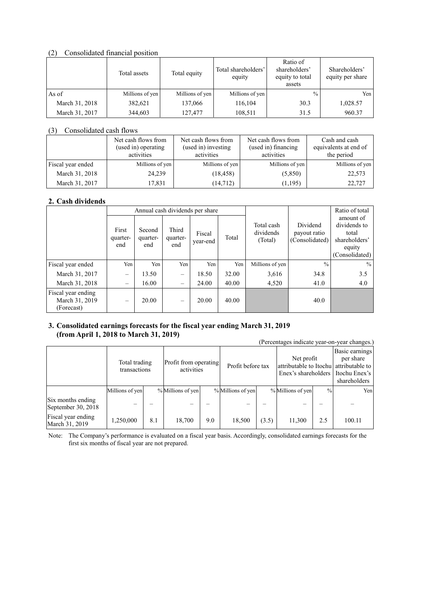#### (2) Consolidated financial position

|                | Total assets    |                 | Total shareholders'<br>equity | Ratio of<br>shareholders'<br>equity to total<br>assets | Shareholders'<br>equity per share |
|----------------|-----------------|-----------------|-------------------------------|--------------------------------------------------------|-----------------------------------|
| As of          | Millions of yen | Millions of yen | Millions of yen               | $\frac{0}{0}$                                          | Yen i                             |
| March 31, 2018 | 382,621         | 137,066         | 116,104                       | 30.3                                                   | 1,028.57                          |
| March 31, 2017 | 344,603         | 127,477         | 108,511                       | 31.5                                                   | 960.37                            |

#### (3) Consolidated cash flows

|                   | Net cash flows from<br>(used in) operating<br>activities | Net cash flows from<br>(used in) investing<br>activities | Net cash flows from<br>(used in) financing<br>activities | Cash and cash<br>equivalents at end of<br>the period |
|-------------------|----------------------------------------------------------|----------------------------------------------------------|----------------------------------------------------------|------------------------------------------------------|
| Fiscal year ended | Millions of yen                                          | Millions of yen                                          | Millions of yen                                          | Millions of yen                                      |
| March 31, 2018    | 24,239                                                   | (18, 458)                                                | (5,850)                                                  | 22,573                                               |
| March 31, 2017    | 17.831                                                   | (14, 712)                                                | (1, 195)                                                 | 22,727                                               |

### **2. Cash dividends**

|                                                    | Annual cash dividends per share |                           |                          |                    |       |                                    |                                            | Ratio of total                                                                  |
|----------------------------------------------------|---------------------------------|---------------------------|--------------------------|--------------------|-------|------------------------------------|--------------------------------------------|---------------------------------------------------------------------------------|
|                                                    | First<br>quarter-<br>end        | Second<br>quarter-<br>end | Third<br>quarter-<br>end | Fiscal<br>year-end | Total | Total cash<br>dividends<br>(Total) | Dividend<br>payout ratio<br>(Consolidated) | amount of<br>dividends to<br>total<br>shareholders'<br>equity<br>(Consolidated) |
| Fiscal year ended                                  | Yen                             | Yen                       | Yen                      | Yen                | Yen   | Millions of yen                    | $\frac{0}{0}$                              | $\frac{0}{0}$                                                                   |
| March 31, 2017                                     | -                               | 13.50                     |                          | 18.50              | 32.00 | 3,616                              | 34.8                                       | 3.5                                                                             |
| March 31, 2018                                     | $\overline{\phantom{0}}$        | 16.00                     |                          | 24.00              | 40.00 | 4,520                              | 41.0                                       | 4.0                                                                             |
| Fiscal year ending<br>March 31, 2019<br>(Forecast) | $\qquad \qquad -$               | 20.00                     |                          | 20.00              | 40.00 |                                    | 40.0                                       |                                                                                 |

#### **3. Consolidated earnings forecasts for the fiscal year ending March 31, 2019 (from April 1, 2018 to March 31, 2019)**

|                                         | (Percentages indicate year-on-year changes.) |     |                                     |     |                   |       |                                                                              |               |                                                              |  |  |  |
|-----------------------------------------|----------------------------------------------|-----|-------------------------------------|-----|-------------------|-------|------------------------------------------------------------------------------|---------------|--------------------------------------------------------------|--|--|--|
|                                         | Total trading<br>transactions                |     | Profit from operating<br>activities |     | Profit before tax |       | Net profit<br>attributable to Itochul attributable to<br>Enex's shareholders |               | Basic earnings<br>per share<br>Itochu Enex's<br>shareholders |  |  |  |
|                                         | Millions of yen                              |     | % Millions of yen                   |     | % Millions of yen |       | % Millions of yen                                                            | $\frac{0}{0}$ | Yen                                                          |  |  |  |
| Six months ending<br>September 30, 2018 |                                              |     |                                     |     |                   |       |                                                                              |               |                                                              |  |  |  |
| Fiscal year ending<br>March 31, 2019    | .250,000                                     | 8.1 | 18,700                              | 9.0 | 18,500            | (3.5) | 11,300                                                                       | 2.5           | 100.11                                                       |  |  |  |

Note: The Company's performance is evaluated on a fiscal year basis. Accordingly, consolidated earnings forecasts for the first six months of fiscal year are not prepared.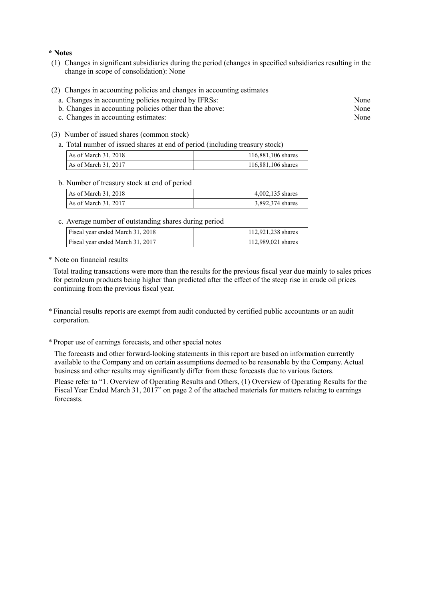#### **\* Notes**

- (1) Changes in significant subsidiaries during the period (changes in specified subsidiaries resulting in the change in scope of consolidation): None
- (2) Changes in accounting policies and changes in accounting estimates
	- a. Changes in accounting policies required by IFRSs: None
	- b. Changes in accounting policies other than the above: None
	- c. Changes in accounting estimates: None
- (3) Number of issued shares (common stock)
	- a. Total number of issued shares at end of period (including treasury stock)

| As of March 31, 2018   | 116,881,106 shares |
|------------------------|--------------------|
| As of March $31, 2017$ | 116,881,106 shares |

#### b. Number of treasury stock at end of period

| As of March 31, 2018 | $4,002,135$ shares |
|----------------------|--------------------|
| As of March 31, 2017 | 3,892,374 shares   |

c. Average number of outstanding shares during period

| Fiscal year ended March 31, 2018 | 112,921,238 shares |
|----------------------------------|--------------------|
| Fiscal year ended March 31, 2017 | 112,989,021 shares |

\* Note on financial results

Total trading transactions were more than the results for the previous fiscal year due mainly to sales prices for petroleum products being higher than predicted after the effect of the steep rise in crude oil prices continuing from the previous fiscal year.

- \* Financial results reports are exempt from audit conducted by certified public accountants or an audit corporation.
- \* Proper use of earnings forecasts, and other special notes

The forecasts and other forward-looking statements in this report are based on information currently available to the Company and on certain assumptions deemed to be reasonable by the Company. Actual business and other results may significantly differ from these forecasts due to various factors.

Please refer to "1. Overview of Operating Results and Others, (1) Overview of Operating Results for the Fiscal Year Ended March 31, 2017" on page 2 of the attached materials for matters relating to earnings forecasts.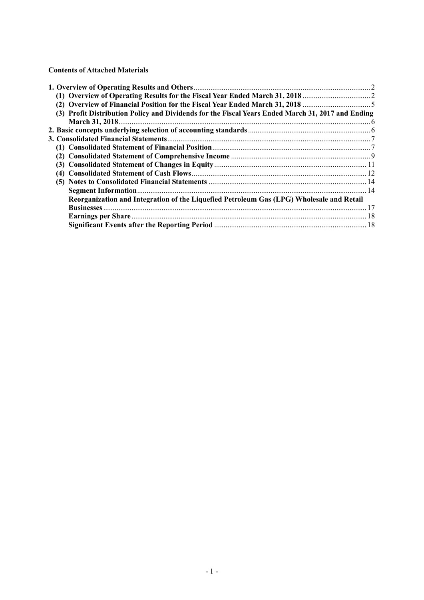**Contents of Attached Materials** 

| (3) Profit Distribution Policy and Dividends for the Fiscal Years Ended March 31, 2017 and Ending |  |
|---------------------------------------------------------------------------------------------------|--|
|                                                                                                   |  |
|                                                                                                   |  |
|                                                                                                   |  |
|                                                                                                   |  |
|                                                                                                   |  |
|                                                                                                   |  |
|                                                                                                   |  |
|                                                                                                   |  |
|                                                                                                   |  |
| Reorganization and Integration of the Liquefied Petroleum Gas (LPG) Wholesale and Retail          |  |
|                                                                                                   |  |
|                                                                                                   |  |
|                                                                                                   |  |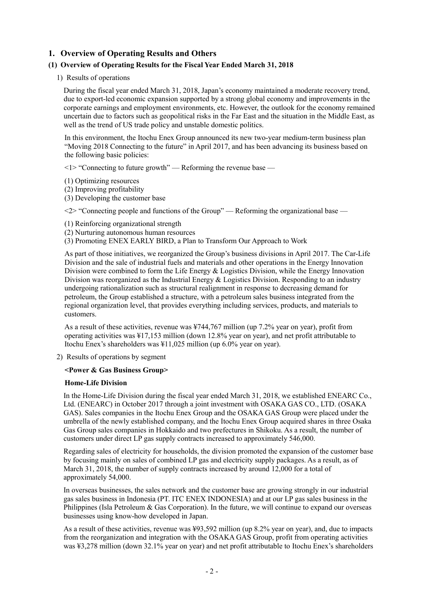## **1. Overview of Operating Results and Others**

#### **(1) Overview of Operating Results for the Fiscal Year Ended March 31, 2018**

1) Results of operations

During the fiscal year ended March 31, 2018, Japan's economy maintained a moderate recovery trend, due to export-led economic expansion supported by a strong global economy and improvements in the corporate earnings and employment environments, etc. However, the outlook for the economy remained uncertain due to factors such as geopolitical risks in the Far East and the situation in the Middle East, as well as the trend of US trade policy and unstable domestic politics.

In this environment, the Itochu Enex Group announced its new two-year medium-term business plan "Moving 2018 Connecting to the future" in April 2017, and has been advancing its business based on the following basic policies:

 $\leq$  1> "Connecting to future growth" — Reforming the revenue base —

- (1) Optimizing resources
- (2) Improving profitability
- (3) Developing the customer base

 $\langle 2 \rangle$  "Connecting people and functions of the Group" — Reforming the organizational base —

- (1) Reinforcing organizational strength
- (2) Nurturing autonomous human resources
- (3) Promoting ENEX EARLY BIRD, a Plan to Transform Our Approach to Work

As part of those initiatives, we reorganized the Group's business divisions in April 2017. The Car-Life Division and the sale of industrial fuels and materials and other operations in the Energy Innovation Division were combined to form the Life Energy & Logistics Division, while the Energy Innovation Division was reorganized as the Industrial Energy  $&$  Logistics Division. Responding to an industry undergoing rationalization such as structural realignment in response to decreasing demand for petroleum, the Group established a structure, with a petroleum sales business integrated from the regional organization level, that provides everything including services, products, and materials to customers.

As a result of these activities, revenue was ¥744,767 million (up 7.2% year on year), profit from operating activities was ¥17,153 million (down 12.8% year on year), and net profit attributable to Itochu Enex's shareholders was ¥11,025 million (up 6.0% year on year).

2) Results of operations by segment

#### **<Power & Gas Business Group>**

#### **Home-Life Division**

In the Home-Life Division during the fiscal year ended March 31, 2018, we established ENEARC Co., Ltd. (ENEARC) in October 2017 through a joint investment with OSAKA GAS CO., LTD. (OSAKA GAS). Sales companies in the Itochu Enex Group and the OSAKA GAS Group were placed under the umbrella of the newly established company, and the Itochu Enex Group acquired shares in three Osaka Gas Group sales companies in Hokkaido and two prefectures in Shikoku. As a result, the number of customers under direct LP gas supply contracts increased to approximately 546,000.

Regarding sales of electricity for households, the division promoted the expansion of the customer base by focusing mainly on sales of combined LP gas and electricity supply packages. As a result, as of March 31, 2018, the number of supply contracts increased by around 12,000 for a total of approximately 54,000.

In overseas businesses, the sales network and the customer base are growing strongly in our industrial gas sales business in Indonesia (PT. ITC ENEX INDONESIA) and at our LP gas sales business in the Philippines (Isla Petroleum & Gas Corporation). In the future, we will continue to expand our overseas businesses using know-how developed in Japan.

As a result of these activities, revenue was ¥93,592 million (up 8.2% year on year), and, due to impacts from the reorganization and integration with the OSAKA GAS Group, profit from operating activities was ¥3,278 million (down 32.1% year on year) and net profit attributable to Itochu Enex's shareholders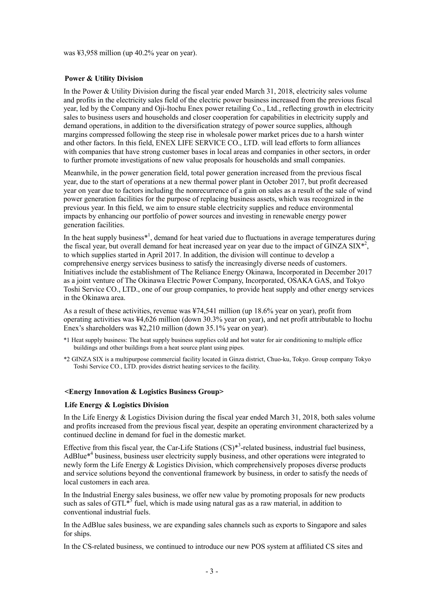was ¥3,958 million (up 40.2% year on year).

#### **Power & Utility Division**

In the Power & Utility Division during the fiscal year ended March 31, 2018, electricity sales volume and profits in the electricity sales field of the electric power business increased from the previous fiscal year, led by the Company and Oji-Itochu Enex power retailing Co., Ltd., reflecting growth in electricity sales to business users and households and closer cooperation for capabilities in electricity supply and demand operations, in addition to the diversification strategy of power source supplies, although margins compressed following the steep rise in wholesale power market prices due to a harsh winter and other factors. In this field, ENEX LIFE SERVICE CO., LTD. will lead efforts to form alliances with companies that have strong customer bases in local areas and companies in other sectors, in order to further promote investigations of new value proposals for households and small companies.

Meanwhile, in the power generation field, total power generation increased from the previous fiscal year, due to the start of operations at a new thermal power plant in October 2017, but profit decreased year on year due to factors including the nonrecurrence of a gain on sales as a result of the sale of wind power generation facilities for the purpose of replacing business assets, which was recognized in the previous year. In this field, we aim to ensure stable electricity supplies and reduce environmental impacts by enhancing our portfolio of power sources and investing in renewable energy power generation facilities.

In the heat supply business $*^1$ , demand for heat varied due to fluctuations in average temperatures during the fiscal year, but overall demand for heat increased year on year due to the impact of  $\overline{GINZA}$  SIX<sup>\*2</sup>, to which supplies started in April 2017. In addition, the division will continue to develop a comprehensive energy services business to satisfy the increasingly diverse needs of customers. Initiatives include the establishment of The Reliance Energy Okinawa, Incorporated in December 2017 as a joint venture of The Okinawa Electric Power Company, Incorporated, OSAKA GAS, and Tokyo Toshi Service CO., LTD., one of our group companies, to provide heat supply and other energy services in the Okinawa area.

As a result of these activities, revenue was ¥74,541 million (up 18.6% year on year), profit from operating activities was ¥4,626 million (down 30.3% year on year), and net profit attributable to Itochu Enex's shareholders was ¥2.210 million (down 35.1% year on year).

- \*1 Heat supply business: The heat supply business supplies cold and hot water for air conditioning to multiple office buildings and other buildings from a heat source plant using pipes.
- \*2 GINZA SIX is a multipurpose commercial facility located in Ginza district, Chuo-ku, Tokyo. Group company Tokyo Toshi Service CO., LTD. provides district heating services to the facility.

#### **<Energy Innovation & Logistics Business Group>**

#### **Life Energy & Logistics Division**

In the Life Energy & Logistics Division during the fiscal year ended March 31, 2018, both sales volume and profits increased from the previous fiscal year, despite an operating environment characterized by a continued decline in demand for fuel in the domestic market.

Effective from this fiscal year, the Car-Life Stations  $(CS)^{*3}$ -related business, industrial fuel business, AdBlue<sup>\*4</sup> business, business user electricity supply business, and other operations were integrated to newly form the Life Energy & Logistics Division, which comprehensively proposes diverse products and service solutions beyond the conventional framework by business, in order to satisfy the needs of local customers in each area.

In the Industrial Energy sales business, we offer new value by promoting proposals for new products such as sales of GTL $^{\ast5}$  fuel, which is made using natural gas as a raw material, in addition to conventional industrial fuels.

In the AdBlue sales business, we are expanding sales channels such as exports to Singapore and sales for ships.

In the CS-related business, we continued to introduce our new POS system at affiliated CS sites and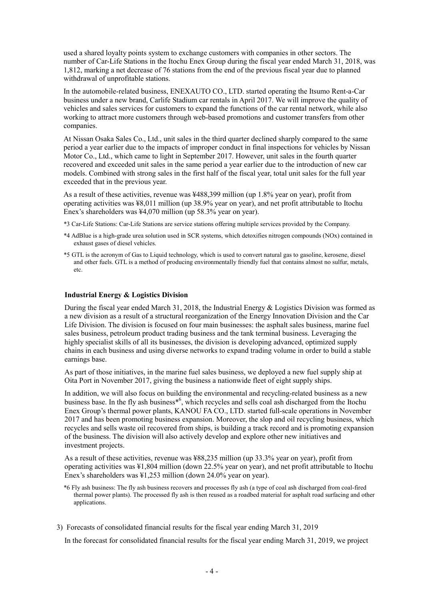used a shared loyalty points system to exchange customers with companies in other sectors. The number of Car-Life Stations in the Itochu Enex Group during the fiscal year ended March 31, 2018, was 1,812, marking a net decrease of 76 stations from the end of the previous fiscal year due to planned withdrawal of unprofitable stations.

In the automobile-related business, ENEXAUTO CO., LTD. started operating the Itsumo Rent-a-Car business under a new brand, Carlife Stadium car rentals in April 2017. We will improve the quality of vehicles and sales services for customers to expand the functions of the car rental network, while also working to attract more customers through web-based promotions and customer transfers from other companies.

At Nissan Osaka Sales Co., Ltd., unit sales in the third quarter declined sharply compared to the same period a year earlier due to the impacts of improper conduct in final inspections for vehicles by Nissan Motor Co., Ltd., which came to light in September 2017. However, unit sales in the fourth quarter recovered and exceeded unit sales in the same period a year earlier due to the introduction of new car models. Combined with strong sales in the first half of the fiscal year, total unit sales for the full year exceeded that in the previous year.

As a result of these activities, revenue was ¥488,399 million (up 1.8% year on year), profit from operating activities was ¥8,011 million (up 38.9% year on year), and net profit attributable to Itochu Enex's shareholders was ¥4,070 million (up 58.3% year on year).

- \*3 Car-Life Stations: Car-Life Stations are service stations offering multiple services provided by the Company.
- \*4 AdBlue is a high-grade urea solution used in SCR systems, which detoxifies nitrogen compounds (NOx) contained in exhaust gases of diesel vehicles.
- \*5 GTL is the acronym of Gas to Liquid technology, which is used to convert natural gas to gasoline, kerosene, diesel and other fuels. GTL is a method of producing environmentally friendly fuel that contains almost no sulfur, metals, etc.

#### **Industrial Energy & Logistics Division**

During the fiscal year ended March 31, 2018, the Industrial Energy  $\&$  Logistics Division was formed as a new division as a result of a structural reorganization of the Energy Innovation Division and the Car Life Division. The division is focused on four main businesses: the asphalt sales business, marine fuel sales business, petroleum product trading business and the tank terminal business. Leveraging the highly specialist skills of all its businesses, the division is developing advanced, optimized supply chains in each business and using diverse networks to expand trading volume in order to build a stable earnings base.

As part of those initiatives, in the marine fuel sales business, we deployed a new fuel supply ship at Oita Port in November 2017, giving the business a nationwide fleet of eight supply ships.

In addition, we will also focus on building the environmental and recycling-related business as a new business base. In the fly ash business<sup>\*6</sup>, which recycles and sells coal ash discharged from the Itochu Enex Group's thermal power plants, KANOU FA CO., LTD. started full-scale operations in November 2017 and has been promoting business expansion. Moreover, the slop and oil recycling business, which recycles and sells waste oil recovered from ships, is building a track record and is promoting expansion of the business. The division will also actively develop and explore other new initiatives and investment projects.

As a result of these activities, revenue was ¥88,235 million (up 33.3% year on year), profit from operating activities was ¥1,804 million (down 22.5% year on year), and net profit attributable to Itochu Enex's shareholders was ¥1,253 million (down 24.0% year on year).

\*6 Fly ash business: The fly ash business recovers and processes fly ash (a type of coal ash discharged from coal-fired thermal power plants). The processed fly ash is then reused as a roadbed material for asphalt road surfacing and other applications.

3) Forecasts of consolidated financial results for the fiscal year ending March 31, 2019

In the forecast for consolidated financial results for the fiscal year ending March 31, 2019, we project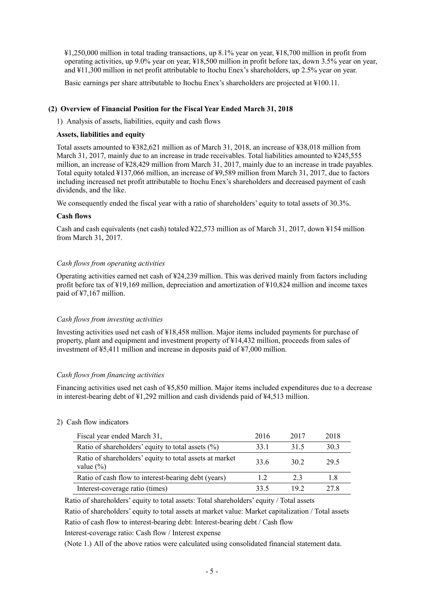¥1,250,000 million in total trading transactions, up 8.1% year on year, ¥18,700 million in profit from operating activities, up 9.0% year on year, ¥18,500 million in profit before tax, down 3.5% year on year, and ¥11,300 million in net profit attributable to Itochu Enex's shareholders, up 2.5% year on year.

Basic earnings per share attributable to Itochu Enex's shareholders are projected at ¥100.11.

#### **(2) Overview of Financial Position for the Fiscal Year Ended March 31, 2018**

1) Analysis of assets, liabilities, equity and cash flows

#### **Assets, liabilities and equity**

Total assets amounted to ¥382,621 million as of March 31, 2018, an increase of ¥38,018 million from March 31, 2017, mainly due to an increase in trade receivables. Total liabilities amounted to \\$245,555 million, an increase of ¥28,429 million from March 31, 2017, mainly due to an increase in trade payables. Total equity totaled ¥137,066 million, an increase of ¥9,589 million from March 31, 2017, due to factors including increased net profit attributable to Itochu Enex's shareholders and decreased payment of cash dividends, and the like.

We consequently ended the fiscal year with a ratio of shareholders' equity to total assets of 30.3%.

#### **Cash flows**

Cash and cash equivalents (net cash) totaled ¥22,573 million as of March 31, 2017, down ¥154 million from March 31, 2017.

#### *Cash flows from operating activities*

Operating activities earned net cash of ¥24,239 million. This was derived mainly from factors including profit before tax of ¥19,169 million, depreciation and amortization of ¥10,824 million and income taxes paid of ¥7,167 million.

#### *Cash flows from investing activities*

Investing activities used net cash of ¥18,458 million. Major items included payments for purchase of property, plant and equipment and investment property of ¥14,432 million, proceeds from sales of investment of ¥5,411 million and increase in deposits paid of ¥7,000 million.

#### *Cash flows from financing activities*

Financing activities used net cash of ¥5,850 million. Major items included expenditures due to a decrease in interest-bearing debt of ¥1,292 million and cash dividends paid of ¥4,513 million.

#### 2) Cash flow indicators

| Fiscal year ended March 31,                                              | 2016 | 2017 | 2018 |
|--------------------------------------------------------------------------|------|------|------|
| Ratio of shareholders' equity to total assets $(\% )$                    | 33 1 | 315  | 30.3 |
| Ratio of shareholders' equity to total assets at market<br>value $(\% )$ | 33.6 | 30 2 | 29.5 |
| Ratio of cash flow to interest-bearing debt (years)                      | 12   | 23   | 18   |
| Interest-coverage ratio (times)                                          | 33.5 | 192  | 27 R |

Ratio of shareholders' equity to total assets: Total shareholders' equity / Total assets

Ratio of shareholders' equity to total assets at market value: Market capitalization / Total assets Ratio of cash flow to interest-bearing debt: Interest-bearing debt / Cash flow

Interest-coverage ratio: Cash flow / Interest expense

(Note 1.) All of the above ratios were calculated using consolidated financial statement data.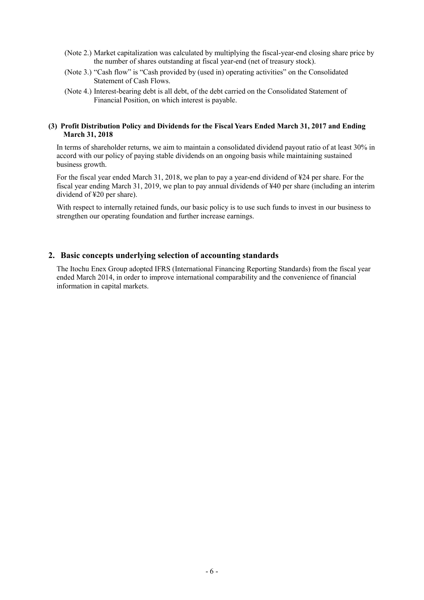- (Note 2.) Market capitalization was calculated by multiplying the fiscal-year-end closing share price by the number of shares outstanding at fiscal year-end (net of treasury stock).
- (Note 3.) "Cash flow" is "Cash provided by (used in) operating activities" on the Consolidated Statement of Cash Flows.
- (Note 4.) Interest-bearing debt is all debt, of the debt carried on the Consolidated Statement of Financial Position, on which interest is payable.

#### **(3) Profit Distribution Policy and Dividends for the Fiscal Years Ended March 31, 2017 and Ending March 31, 2018**

In terms of shareholder returns, we aim to maintain a consolidated dividend payout ratio of at least 30% in accord with our policy of paying stable dividends on an ongoing basis while maintaining sustained business growth.

For the fiscal year ended March 31, 2018, we plan to pay a year-end dividend of ¥24 per share. For the fiscal year ending March 31, 2019, we plan to pay annual dividends of ¥40 per share (including an interim dividend of ¥20 per share).

With respect to internally retained funds, our basic policy is to use such funds to invest in our business to strengthen our operating foundation and further increase earnings.

#### **2. Basic concepts underlying selection of accounting standards**

The Itochu Enex Group adopted IFRS (International Financing Reporting Standards) from the fiscal year ended March 2014, in order to improve international comparability and the convenience of financial information in capital markets.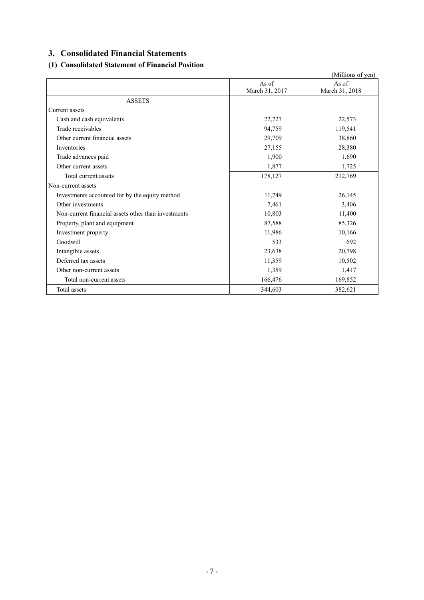## **3. Consolidated Financial Statements**

## **(1) Consolidated Statement of Financial Position**

|                                                     |                | (Millions of yen) |
|-----------------------------------------------------|----------------|-------------------|
|                                                     | As of          | As of             |
|                                                     | March 31, 2017 | March 31, 2018    |
| <b>ASSETS</b>                                       |                |                   |
| Current assets                                      |                |                   |
| Cash and cash equivalents                           | 22,727         | 22,573            |
| Trade receivables                                   | 94,759         | 119,541           |
| Other current financial assets                      | 29,709         | 38,860            |
| Inventories                                         | 27,155         | 28,380            |
| Trade advances paid                                 | 1,900          | 1,690             |
| Other current assets                                | 1,877          | 1,725             |
| Total current assets                                | 178,127        | 212,769           |
| Non-current assets                                  |                |                   |
| Investments accounted for by the equity method      | 11,749         | 26,145            |
| Other investments                                   | 7,461          | 3,406             |
| Non-current financial assets other than investments | 10,803         | 11,400            |
| Property, plant and equipment                       | 87,588         | 85,326            |
| Investment property                                 | 11,986         | 10,166            |
| Goodwill                                            | 533            | 692               |
| Intangible assets                                   | 23,638         | 20,798            |
| Deferred tax assets                                 | 11,359         | 10,502            |
| Other non-current assets                            | 1,359          | 1,417             |
| Total non-current assets                            | 166,476        | 169,852           |
| Total assets                                        | 344,603        | 382,621           |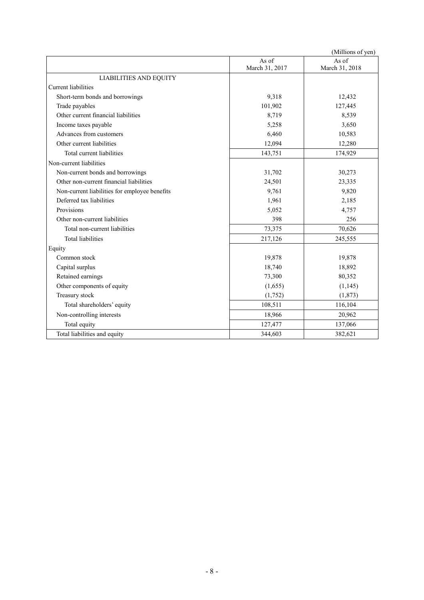|                                               |                         | (Millions of yen)       |
|-----------------------------------------------|-------------------------|-------------------------|
|                                               | As of<br>March 31, 2017 | As of<br>March 31, 2018 |
| <b>LIABILITIES AND EQUITY</b>                 |                         |                         |
| <b>Current</b> liabilities                    |                         |                         |
| Short-term bonds and borrowings               | 9,318                   | 12,432                  |
| Trade payables                                | 101,902                 | 127,445                 |
| Other current financial liabilities           | 8,719                   | 8,539                   |
| Income taxes payable                          | 5,258                   | 3,650                   |
| Advances from customers                       | 6,460                   | 10,583                  |
| Other current liabilities                     | 12,094                  | 12,280                  |
| Total current liabilities                     | 143,751                 | 174,929                 |
| Non-current liabilities                       |                         |                         |
| Non-current bonds and borrowings              | 31,702                  | 30,273                  |
| Other non-current financial liabilities       | 24,501                  | 23,335                  |
| Non-current liabilities for employee benefits | 9,761                   | 9,820                   |
| Deferred tax liabilities                      | 1,961                   | 2,185                   |
| Provisions                                    | 5,052                   | 4,757                   |
| Other non-current liabilities                 | 398                     | 256                     |
| Total non-current liabilities                 | 73,375                  | 70,626                  |
| <b>Total liabilities</b>                      | 217,126                 | 245,555                 |
| Equity                                        |                         |                         |
| Common stock                                  | 19,878                  | 19,878                  |
| Capital surplus                               | 18,740                  | 18,892                  |
| Retained earnings                             | 73,300                  | 80,352                  |
| Other components of equity                    | (1,655)                 | (1, 145)                |
| Treasury stock                                | (1,752)                 | (1, 873)                |
| Total shareholders' equity                    | 108,511                 | 116,104                 |
| Non-controlling interests                     | 18,966                  | 20,962                  |
| Total equity                                  | 127,477                 | 137,066                 |
| Total liabilities and equity                  | 344,603                 | 382,621                 |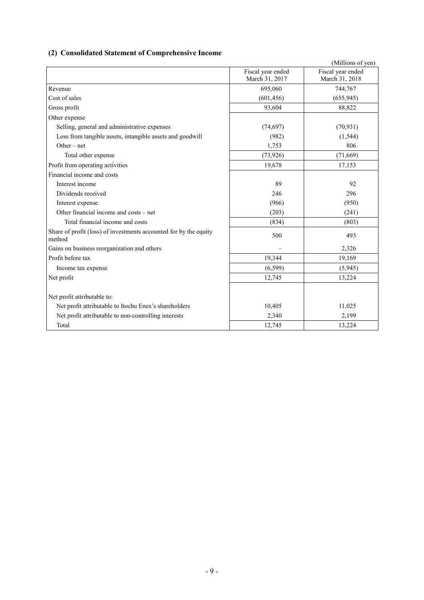## **(2) Consolidated Statement of Comprehensive Income**

|                                                                             | Fiscal year ended | (Millions of yen)<br>Fiscal year ended |
|-----------------------------------------------------------------------------|-------------------|----------------------------------------|
|                                                                             | March 31, 2017    | March 31, 2018                         |
| Revenue                                                                     | 695,060           | 744,767                                |
| Cost of sales                                                               | (601, 456)        | (655, 945)                             |
| Gross profit                                                                | 93,604            | 88,822                                 |
| Other expense                                                               |                   |                                        |
| Selling, general and administrative expenses                                | (74, 697)         | (70, 931)                              |
| Loss from tangible assets, intangible assets and goodwill                   | (982)             | (1, 544)                               |
| $Other-net$                                                                 | 1,753             | 806                                    |
| Total other expense                                                         | (73, 926)         | (71,669)                               |
| Profit from operating activities                                            | 19,678            | 17,153                                 |
| Financial income and costs                                                  |                   |                                        |
| Interest income                                                             | 89                | 92                                     |
| Dividends received                                                          | 246               | 296                                    |
| Interest expense                                                            | (966)             | (950)                                  |
| Other financial income and costs – net                                      | (203)             | (241)                                  |
| Total financial income and costs                                            | (834)             | (803)                                  |
| Share of profit (loss) of investments accounted for by the equity<br>method | 500               | 493                                    |
| Gains on business reorganization and others                                 |                   | 2,326                                  |
| Profit before tax                                                           | 19,344            | 19,169                                 |
| Income tax expense                                                          | (6, 599)          | (5,945)                                |
| Net profit                                                                  | 12,745            | 13,224                                 |
| Net profit attributable to:                                                 |                   |                                        |
| Net profit attributable to Itochu Enex's shareholders                       | 10,405            | 11,025                                 |
| Net profit attributable to non-controlling interests                        | 2,340             | 2,199                                  |
| Total                                                                       | 12,745            | 13,224                                 |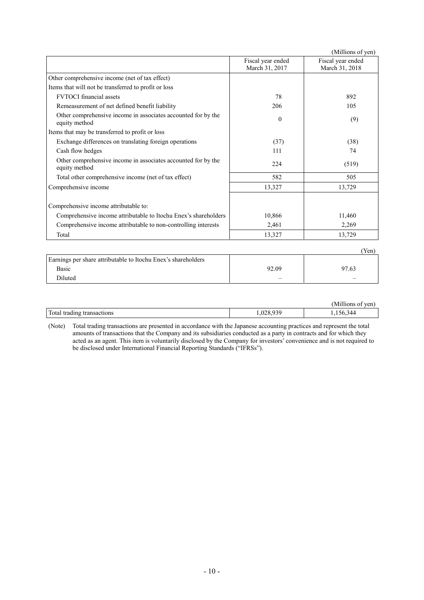|                                                                                |                                     | (Millions of yen)                   |
|--------------------------------------------------------------------------------|-------------------------------------|-------------------------------------|
|                                                                                | Fiscal year ended<br>March 31, 2017 | Fiscal year ended<br>March 31, 2018 |
| Other comprehensive income (net of tax effect)                                 |                                     |                                     |
| Items that will not be transferred to profit or loss                           |                                     |                                     |
| <b>FVTOCI</b> financial assets                                                 | 78                                  | 892                                 |
| Remeasurement of net defined benefit liability                                 | 206                                 | 105                                 |
| Other comprehensive income in associates accounted for by the<br>equity method | $\theta$                            | (9)                                 |
| Items that may be transferred to profit or loss                                |                                     |                                     |
| Exchange differences on translating foreign operations                         | (37)                                | (38)                                |
| Cash flow hedges                                                               | 111                                 | 74                                  |
| Other comprehensive income in associates accounted for by the<br>equity method | 224                                 | (519)                               |
| Total other comprehensive income (net of tax effect)                           | 582                                 | 505                                 |
| Comprehensive income                                                           | 13,327                              | 13,729                              |
| Comprehensive income attributable to:                                          |                                     |                                     |
| Comprehensive income attributable to Itochu Enex's shareholders                | 10,866                              | 11,460                              |
| Comprehensive income attributable to non-controlling interests                 | 2,461                               | 2,269                               |
| Total                                                                          | 13,327                              | 13,729                              |
|                                                                                |                                     | (Yen)                               |
| Earnings per share attributable to Itochu Enex's shareholders                  |                                     |                                     |

| Larmings per share authoritable to hoema Lifex s'shareholders |                          |       |
|---------------------------------------------------------------|--------------------------|-------|
| Basic                                                         | 92.09                    | 97.63 |
| Diluted                                                       | $\overline{\phantom{0}}$ |       |
|                                                               |                          |       |

|                                                                       | $-1.1.1$<br>ven<br>`uion.<br>◡⊥ |
|-----------------------------------------------------------------------|---------------------------------|
| Total ti<br>trading<br>. teams an<br>tions<br>-tansac.<br>.<br>$\sim$ | 144<br>٦h<br>, , ,<br>, 100,0   |

(Note) Total trading transactions are presented in accordance with the Japanese accounting practices and represent the total amounts of transactions that the Company and its subsidiaries conducted as a party in contracts and for which they acted as an agent. This item is voluntarily disclosed by the Company for investors' convenience and is not required to be disclosed under International Financial Reporting Standards ("IFRSs").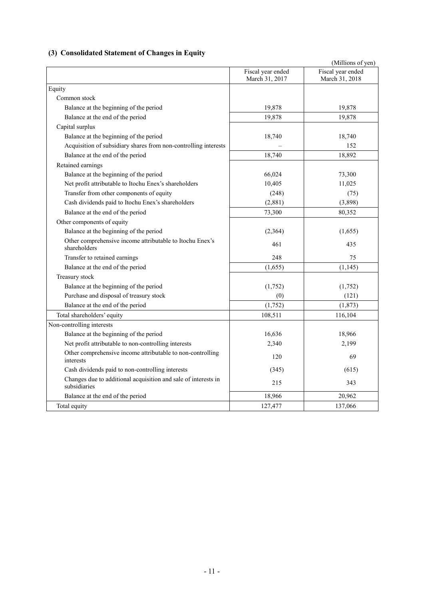## **(3) Consolidated Statement of Changes in Equity**

|                                                                                |                                     | (Millions of yen)                   |
|--------------------------------------------------------------------------------|-------------------------------------|-------------------------------------|
|                                                                                | Fiscal year ended<br>March 31, 2017 | Fiscal year ended<br>March 31, 2018 |
| Equity                                                                         |                                     |                                     |
| Common stock                                                                   |                                     |                                     |
| Balance at the beginning of the period                                         | 19,878                              | 19,878                              |
| Balance at the end of the period                                               | 19,878                              | 19,878                              |
| Capital surplus                                                                |                                     |                                     |
| Balance at the beginning of the period                                         | 18,740                              | 18,740                              |
| Acquisition of subsidiary shares from non-controlling interests                |                                     | 152                                 |
| Balance at the end of the period                                               | 18,740                              | 18,892                              |
| Retained earnings                                                              |                                     |                                     |
| Balance at the beginning of the period                                         | 66,024                              | 73,300                              |
| Net profit attributable to Itochu Enex's shareholders                          | 10,405                              | 11,025                              |
| Transfer from other components of equity                                       | (248)                               | (75)                                |
| Cash dividends paid to Itochu Enex's shareholders                              | (2,881)                             | (3,898)                             |
| Balance at the end of the period                                               | 73,300                              | 80,352                              |
| Other components of equity                                                     |                                     |                                     |
| Balance at the beginning of the period                                         | (2,364)                             | (1,655)                             |
| Other comprehensive income attributable to Itochu Enex's<br>shareholders       | 461                                 | 435                                 |
| Transfer to retained earnings                                                  | 248                                 | 75                                  |
| Balance at the end of the period                                               | (1,655)                             | (1, 145)                            |
| Treasury stock                                                                 |                                     |                                     |
| Balance at the beginning of the period                                         | (1,752)                             | (1,752)                             |
| Purchase and disposal of treasury stock                                        | (0)                                 | (121)                               |
| Balance at the end of the period                                               | (1,752)                             | (1, 873)                            |
| Total shareholders' equity                                                     | 108,511                             | 116,104                             |
| Non-controlling interests                                                      |                                     |                                     |
| Balance at the beginning of the period                                         | 16,636                              | 18,966                              |
| Net profit attributable to non-controlling interests                           | 2,340                               | 2,199                               |
| Other comprehensive income attributable to non-controlling<br>interests        | 120                                 | 69                                  |
| Cash dividends paid to non-controlling interests                               | (345)                               | (615)                               |
| Changes due to additional acquisition and sale of interests in<br>subsidiaries | 215                                 | 343                                 |
| Balance at the end of the period                                               | 18,966                              | 20,962                              |
| Total equity                                                                   | 127,477                             | 137,066                             |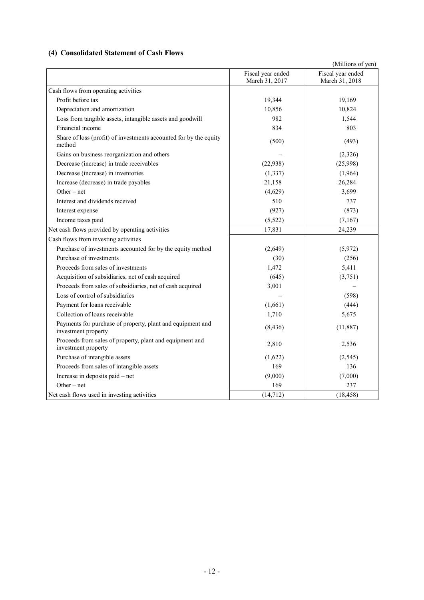### **(4) Consolidated Statement of Cash Flows**

|                                                                                   |                                     | (Millions of yen)                   |
|-----------------------------------------------------------------------------------|-------------------------------------|-------------------------------------|
|                                                                                   | Fiscal year ended<br>March 31, 2017 | Fiscal year ended<br>March 31, 2018 |
| Cash flows from operating activities                                              |                                     |                                     |
| Profit before tax                                                                 | 19,344                              | 19,169                              |
| Depreciation and amortization                                                     | 10,856                              | 10,824                              |
| Loss from tangible assets, intangible assets and goodwill                         | 982                                 | 1,544                               |
| Financial income                                                                  | 834                                 | 803                                 |
| Share of loss (profit) of investments accounted for by the equity<br>method       | (500)                               | (493)                               |
| Gains on business reorganization and others                                       |                                     | (2,326)                             |
| Decrease (increase) in trade receivables                                          | (22,938)                            | (25,998)                            |
| Decrease (increase) in inventories                                                | (1, 337)                            | (1,964)                             |
| Increase (decrease) in trade payables                                             | 21,158                              | 26,284                              |
| Other $-$ net                                                                     | (4,629)                             | 3,699                               |
| Interest and dividends received                                                   | 510                                 | 737                                 |
| Interest expense                                                                  | (927)                               | (873)                               |
| Income taxes paid                                                                 | (5, 522)                            | (7,167)                             |
| Net cash flows provided by operating activities                                   | 17,831                              | 24,239                              |
| Cash flows from investing activities                                              |                                     |                                     |
| Purchase of investments accounted for by the equity method                        | (2,649)                             | (5,972)                             |
| Purchase of investments                                                           | (30)                                | (256)                               |
| Proceeds from sales of investments                                                | 1,472                               | 5,411                               |
| Acquisition of subsidiaries, net of cash acquired                                 | (645)                               | (3,751)                             |
| Proceeds from sales of subsidiaries, net of cash acquired                         | 3,001                               |                                     |
| Loss of control of subsidiaries                                                   |                                     | (598)                               |
| Payment for loans receivable                                                      | (1,661)                             | (444)                               |
| Collection of loans receivable                                                    | 1,710                               | 5,675                               |
| Payments for purchase of property, plant and equipment and<br>investment property | (8, 436)                            | (11, 887)                           |
| Proceeds from sales of property, plant and equipment and<br>investment property   | 2,810                               | 2,536                               |
| Purchase of intangible assets                                                     | (1,622)                             | (2,545)                             |
| Proceeds from sales of intangible assets                                          | 169                                 | 136                                 |
| Increase in deposits paid – net                                                   | (9,000)                             | (7,000)                             |
| Other $-$ net                                                                     | 169                                 | 237                                 |
| Net cash flows used in investing activities                                       | (14, 712)                           | (18, 458)                           |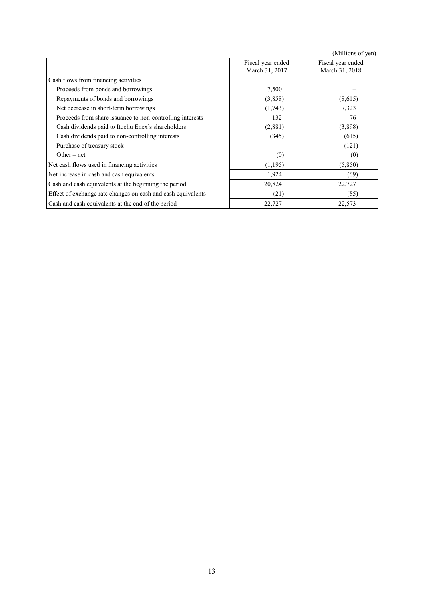(Millions of yen)

|                                                              | Fiscal year ended<br>March 31, 2017 | Fiscal year ended<br>March 31, 2018 |
|--------------------------------------------------------------|-------------------------------------|-------------------------------------|
| Cash flows from financing activities                         |                                     |                                     |
| Proceeds from bonds and borrowings                           | 7,500                               |                                     |
| Repayments of bonds and borrowings                           | (3,858)                             | (8,615)                             |
| Net decrease in short-term borrowings                        | (1,743)                             | 7,323                               |
| Proceeds from share issuance to non-controlling interests    | 132                                 | 76                                  |
| Cash dividends paid to Itochu Enex's shareholders            | (2,881)                             | (3,898)                             |
| Cash dividends paid to non-controlling interests             | (345)                               | (615)                               |
| Purchase of treasury stock                                   |                                     | (121)                               |
| Other $-$ net                                                | (0)                                 | (0)                                 |
| Net cash flows used in financing activities                  | (1,195)                             | (5,850)                             |
| Net increase in cash and cash equivalents                    | 1,924                               | (69)                                |
| Cash and cash equivalents at the beginning the period        | 20,824                              | 22,727                              |
| Effect of exchange rate changes on cash and cash equivalents | (21)                                | (85)                                |
| Cash and cash equivalents at the end of the period           | 22,727                              | 22,573                              |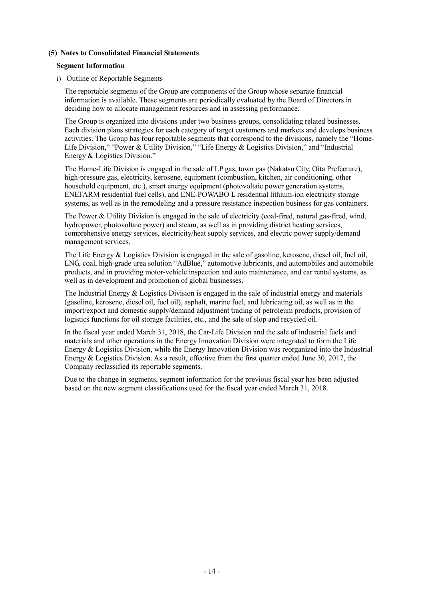#### **(5) Notes to Consolidated Financial Statements**

#### **Segment Information**

#### i) Outline of Reportable Segments

The reportable segments of the Group are components of the Group whose separate financial information is available. These segments are periodically evaluated by the Board of Directors in deciding how to allocate management resources and in assessing performance.

The Group is organized into divisions under two business groups, consolidating related businesses. Each division plans strategies for each category of target customers and markets and develops business activities. The Group has four reportable segments that correspond to the divisions, namely the "Home-Life Division," "Power & Utility Division," "Life Energy & Logistics Division," and "Industrial Energy & Logistics Division."

The Home-Life Division is engaged in the sale of LP gas, town gas (Nakatsu City, Oita Prefecture), high-pressure gas, electricity, kerosene, equipment (combustion, kitchen, air conditioning, other household equipment, etc.), smart energy equipment (photovoltaic power generation systems, ENEFARM residential fuel cells), and ENE-POWABO L residential lithium-ion electricity storage systems, as well as in the remodeling and a pressure resistance inspection business for gas containers.

The Power & Utility Division is engaged in the sale of electricity (coal-fired, natural gas-fired, wind, hydropower, photovoltaic power) and steam, as well as in providing district heating services, comprehensive energy services, electricity/heat supply services, and electric power supply/demand management services.

The Life Energy & Logistics Division is engaged in the sale of gasoline, kerosene, diesel oil, fuel oil, LNG, coal, high-grade urea solution "AdBlue," automotive lubricants, and automobiles and automobile products, and in providing motor-vehicle inspection and auto maintenance, and car rental systems, as well as in development and promotion of global businesses.

The Industrial Energy & Logistics Division is engaged in the sale of industrial energy and materials (gasoline, kerosene, diesel oil, fuel oil), asphalt, marine fuel, and lubricating oil, as well as in the import/export and domestic supply/demand adjustment trading of petroleum products, provision of logistics functions for oil storage facilities, etc., and the sale of slop and recycled oil.

In the fiscal year ended March 31, 2018, the Car-Life Division and the sale of industrial fuels and materials and other operations in the Energy Innovation Division were integrated to form the Life Energy & Logistics Division, while the Energy Innovation Division was reorganized into the Industrial Energy  $\&$  Logistics Division. As a result, effective from the first quarter ended June 30, 2017, the Company reclassified its reportable segments.

Due to the change in segments, segment information for the previous fiscal year has been adjusted based on the new segment classifications used for the fiscal year ended March 31, 2018.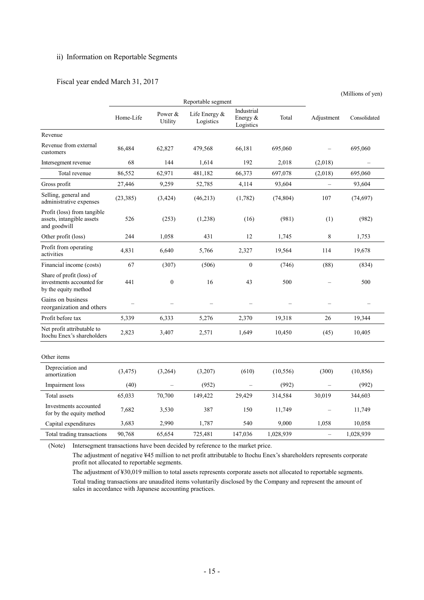#### ii) Information on Reportable Segments

#### Fiscal year ended March 31, 2017

|                                                                                |           |                    |                            |                                        |           |                          | (Millions of yen) |
|--------------------------------------------------------------------------------|-----------|--------------------|----------------------------|----------------------------------------|-----------|--------------------------|-------------------|
|                                                                                |           |                    | Reportable segment         |                                        |           |                          |                   |
|                                                                                | Home-Life | Power &<br>Utility | Life Energy &<br>Logistics | Industrial<br>Energy $\&$<br>Logistics | Total     | Adjustment               | Consolidated      |
| Revenue                                                                        |           |                    |                            |                                        |           |                          |                   |
| Revenue from external<br>customers                                             | 86,484    | 62,827             | 479,568                    | 66,181                                 | 695,060   |                          | 695,060           |
| Intersegment revenue                                                           | 68        | 144                | 1,614                      | 192                                    | 2,018     | (2,018)                  |                   |
| Total revenue                                                                  | 86,552    | 62,971             | 481,182                    | 66,373                                 | 697,078   | (2,018)                  | 695,060           |
| Gross profit                                                                   | 27,446    | 9,259              | 52,785                     | 4,114                                  | 93,604    | $\overline{\phantom{0}}$ | 93,604            |
| Selling, general and<br>administrative expenses                                | (23, 385) | (3, 424)           | (46, 213)                  | (1,782)                                | (74, 804) | 107                      | (74, 697)         |
| Profit (loss) from tangible<br>assets, intangible assets<br>and goodwill       | 526       | (253)              | (1,238)                    | (16)                                   | (981)     | (1)                      | (982)             |
| Other profit (loss)                                                            | 244       | 1,058              | 431                        | 12                                     | 1,745     | 8                        | 1,753             |
| Profit from operating<br>activities                                            | 4,831     | 6,640              | 5,766                      | 2,327                                  | 19,564    | 114                      | 19,678            |
| Financial income (costs)                                                       | 67        | (307)              | (506)                      | $\mathbf{0}$                           | (746)     | (88)                     | (834)             |
| Share of profit (loss) of<br>investments accounted for<br>by the equity method | 441       | $\boldsymbol{0}$   | 16                         | 43                                     | 500       |                          | 500               |
| Gains on business<br>reorganization and others                                 |           |                    |                            |                                        |           |                          |                   |
| Profit before tax                                                              | 5,339     | 6,333              | 5,276                      | 2,370                                  | 19,318    | 26                       | 19,344            |
| Net profit attributable to<br>Itochu Enex's shareholders                       | 2,823     | 3,407              | 2,571                      | 1,649                                  | 10,450    | (45)                     | 10,405            |
| Other items                                                                    |           |                    |                            |                                        |           |                          |                   |
| Depreciation and<br>amortization                                               | (3, 475)  | (3,264)            | (3,207)                    | (610)                                  | (10, 556) | (300)                    | (10, 856)         |
| Impairment loss                                                                | (40)      |                    | (952)                      |                                        | (992)     |                          | (992)             |
| Total assets                                                                   | 65,033    | 70,700             | 149,422                    | 29,429                                 | 314,584   | 30,019                   | 344,603           |
| Investments accounted<br>for by the equity method                              | 7,682     | 3,530              | 387                        | 150                                    | 11,749    |                          | 11,749            |
| Capital expenditures                                                           | 3,683     | 2,990              | 1,787                      | 540                                    | 9,000     | 1,058                    | 10,058            |
| Total trading transactions                                                     | 90,768    | 65,654             | 725,481                    | 147,036                                | 1,028,939 | $\equiv$                 | 1,028,939         |

(Note) Intersegment transactions have been decided by reference to the market price.

The adjustment of negative ¥45 million to net profit attributable to Itochu Enex's shareholders represents corporate profit not allocated to reportable segments.

The adjustment of ¥30,019 million to total assets represents corporate assets not allocated to reportable segments. Total trading transactions are unaudited items voluntarily disclosed by the Company and represent the amount of sales in accordance with Japanese accounting practices.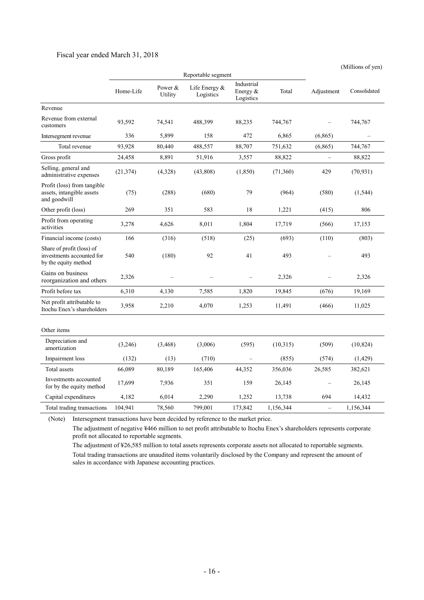#### Fiscal year ended March 31, 2018

(Millions of yen)

|                                                                                | Reportable segment |                    |                              |                                       |           |                          |              |
|--------------------------------------------------------------------------------|--------------------|--------------------|------------------------------|---------------------------------------|-----------|--------------------------|--------------|
|                                                                                | Home-Life          | Power &<br>Utility | Life Energy $&$<br>Logistics | Industrial<br>Energy $&$<br>Logistics | Total     | Adjustment               | Consolidated |
| Revenue                                                                        |                    |                    |                              |                                       |           |                          |              |
| Revenue from external<br>customers                                             | 93,592             | 74,541             | 488,399                      | 88,235                                | 744,767   |                          | 744,767      |
| Intersegment revenue                                                           | 336                | 5,899              | 158                          | 472                                   | 6,865     | (6, 865)                 |              |
| Total revenue                                                                  | 93,928             | 80,440             | 488,557                      | 88,707                                | 751,632   | (6,865)                  | 744,767      |
| Gross profit                                                                   | 24,458             | 8,891              | 51,916                       | 3,557                                 | 88,822    | $\equiv$                 | 88,822       |
| Selling, general and<br>administrative expenses                                | (21, 374)          | (4,328)            | (43,808)                     | (1, 850)                              | (71, 360) | 429                      | (70, 931)    |
| Profit (loss) from tangible<br>assets, intangible assets<br>and goodwill       | (75)               | (288)              | (680)                        | 79                                    | (964)     | (580)                    | (1, 544)     |
| Other profit (loss)                                                            | 269                | 351                | 583                          | 18                                    | 1,221     | (415)                    | 806          |
| Profit from operating<br>activities                                            | 3,278              | 4,626              | 8,011                        | 1,804                                 | 17,719    | (566)                    | 17,153       |
| Financial income (costs)                                                       | 166                | (316)              | (518)                        | (25)                                  | (693)     | (110)                    | (803)        |
| Share of profit (loss) of<br>investments accounted for<br>by the equity method | 540                | (180)              | 92                           | 41                                    | 493       |                          | 493          |
| Gains on business<br>reorganization and others                                 | 2,326              |                    |                              |                                       | 2,326     |                          | 2,326        |
| Profit before tax                                                              | 6,310              | 4,130              | 7,585                        | 1,820                                 | 19,845    | (676)                    | 19,169       |
| Net profit attributable to<br>Itochu Enex's shareholders                       | 3,958              | 2,210              | 4,070                        | 1,253                                 | 11,491    | (466)                    | 11,025       |
| Other items                                                                    |                    |                    |                              |                                       |           |                          |              |
| Depreciation and<br>amortization                                               | (3,246)            | (3, 468)           | (3,006)                      | (595)                                 | (10,315)  | (509)                    | (10, 824)    |
| Impairment loss                                                                | (132)              | (13)               | (710)                        |                                       | (855)     | (574)                    | (1, 429)     |
| Total assets                                                                   | 66,089             | 80,189             | 165,406                      | 44,352                                | 356,036   | 26,585                   | 382,621      |
| Investments accounted<br>for by the equity method                              | 17,699             | 7,936              | 351                          | 159                                   | 26,145    |                          | 26,145       |
| Capital expenditures                                                           | 4,182              | 6,014              | 2,290                        | 1,252                                 | 13,738    | 694                      | 14,432       |
| Total trading transactions                                                     | 104,941            | 78,560             | 799,001                      | 173,842                               | 1,156,344 | $\overline{\phantom{m}}$ | 1,156,344    |

(Note) Intersegment transactions have been decided by reference to the market price.

The adjustment of negative ¥466 million to net profit attributable to Itochu Enex's shareholders represents corporate profit not allocated to reportable segments.

The adjustment of ¥26,585 million to total assets represents corporate assets not allocated to reportable segments. Total trading transactions are unaudited items voluntarily disclosed by the Company and represent the amount of sales in accordance with Japanese accounting practices.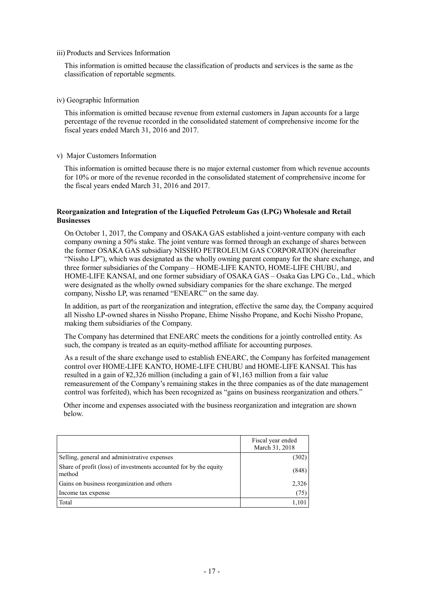iii) Products and Services Information

This information is omitted because the classification of products and services is the same as the classification of reportable segments.

#### iv) Geographic Information

This information is omitted because revenue from external customers in Japan accounts for a large percentage of the revenue recorded in the consolidated statement of comprehensive income for the fiscal years ended March 31, 2016 and 2017.

#### v) Major Customers Information

This information is omitted because there is no major external customer from which revenue accounts for 10% or more of the revenue recorded in the consolidated statement of comprehensive income for the fiscal years ended March 31, 2016 and 2017.

#### **Reorganization and Integration of the Liquefied Petroleum Gas (LPG) Wholesale and Retail Businesses**

On October 1, 2017, the Company and OSAKA GAS established a joint-venture company with each company owning a 50% stake. The joint venture was formed through an exchange of shares between the former OSAKA GAS subsidiary NISSHO PETROLEUM GAS CORPORATION (hereinafter "Nissho LP"), which was designated as the wholly owning parent company for the share exchange, and three former subsidiaries of the Company – HOME-LIFE KANTO, HOME-LIFE CHUBU, and HOME-LIFE KANSAI, and one former subsidiary of OSAKA GAS – Osaka Gas LPG Co., Ltd., which were designated as the wholly owned subsidiary companies for the share exchange. The merged company, Nissho LP, was renamed "ENEARC" on the same day.

In addition, as part of the reorganization and integration, effective the same day, the Company acquired all Nissho LP-owned shares in Nissho Propane, Ehime Nissho Propane, and Kochi Nissho Propane, making them subsidiaries of the Company.

The Company has determined that ENEARC meets the conditions for a jointly controlled entity. As such, the company is treated as an equity-method affiliate for accounting purposes.

As a result of the share exchange used to establish ENEARC, the Company has forfeited management control over HOME-LIFE KANTO, HOME-LIFE CHUBU and HOME-LIFE KANSAI. This has resulted in a gain of ¥2,326 million (including a gain of ¥1,163 million from a fair value remeasurement of the Company's remaining stakes in the three companies as of the date management control was forfeited), which has been recognized as "gains on business reorganization and others."

Other income and expenses associated with the business reorganization and integration are shown below.

|                                                                             | Fiscal year ended<br>March 31, 2018 |
|-----------------------------------------------------------------------------|-------------------------------------|
| Selling, general and administrative expenses                                | (302)                               |
| Share of profit (loss) of investments accounted for by the equity<br>method | (848)                               |
| Gains on business reorganization and others                                 | 2,326                               |
| Income tax expense                                                          | (75)                                |
| Total                                                                       | 1,101                               |